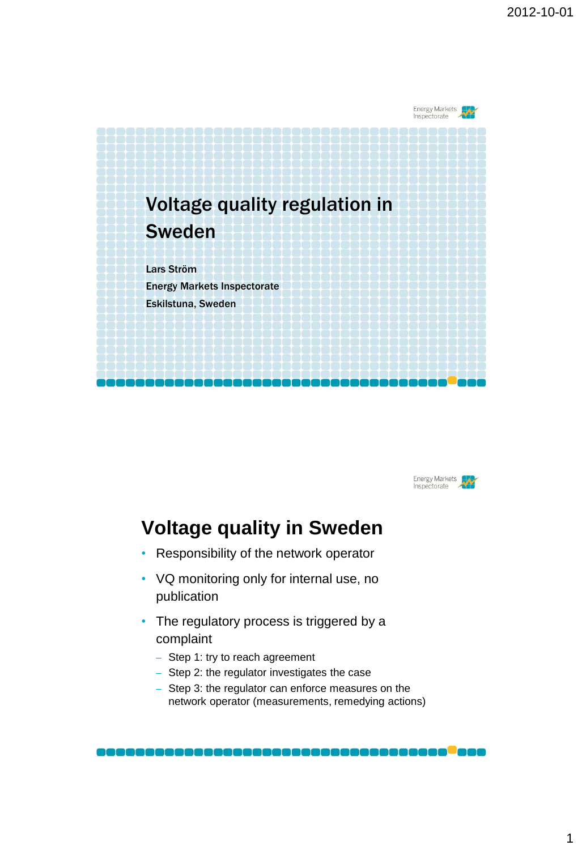



# **Voltage quality in Sweden**

- Responsibility of the network operator
- VQ monitoring only for internal use, no publication
- The regulatory process is triggered by a complaint
	- Step 1: try to reach agreement
	- Step 2: the regulator investigates the case
	- Step 3: the regulator can enforce measures on the network operator (measurements, remedying actions)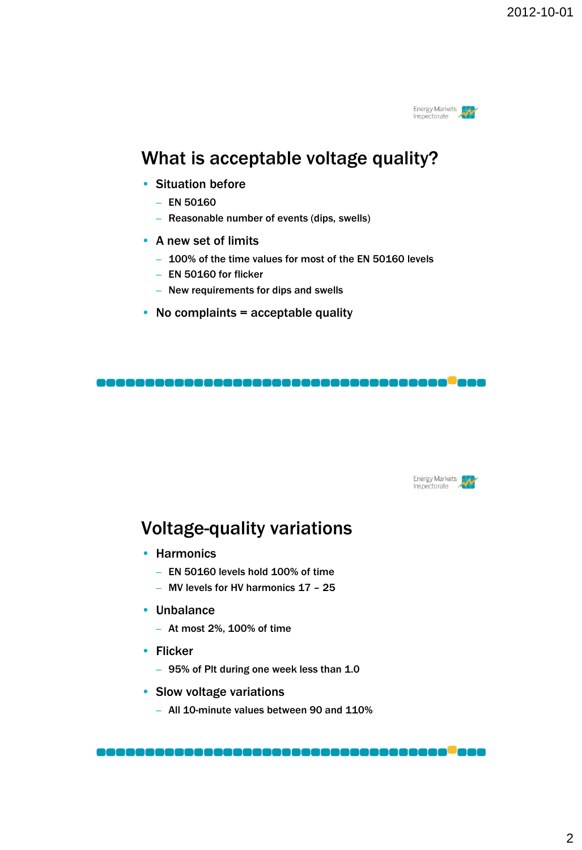

## What is acceptable voltage quality?

- Situation before
	- $-$  EN 50160
	- Reasonable number of events (dips, swells)
- A new set of limits
	- 100% of the time values for most of the EN 50160 levels
	- EN 50160 for flicker
	- New requirements for dips and swells
- No complaints  $=$  acceptable quality



## Voltage-quality variations

- Harmonics
	- EN 50160 levels hold 100% of time
	- MV levels for HV harmonics 17 25
- Unbalance
	- At most 2%, 100% of time
- Flicker
	- 95% of Plt during one week less than 1.0
- Slow voltage variations
	- All 10-minute values between 90 and 110%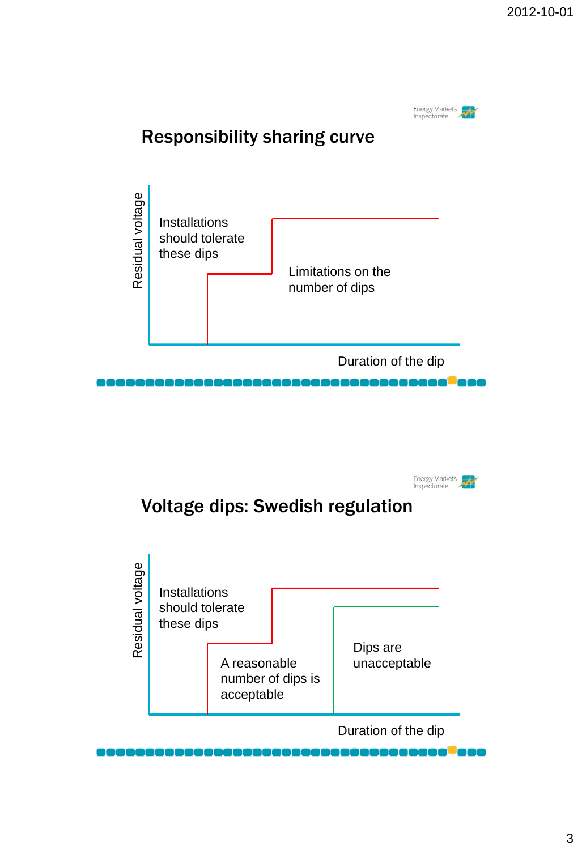



## Voltage dips: Swedish regulation

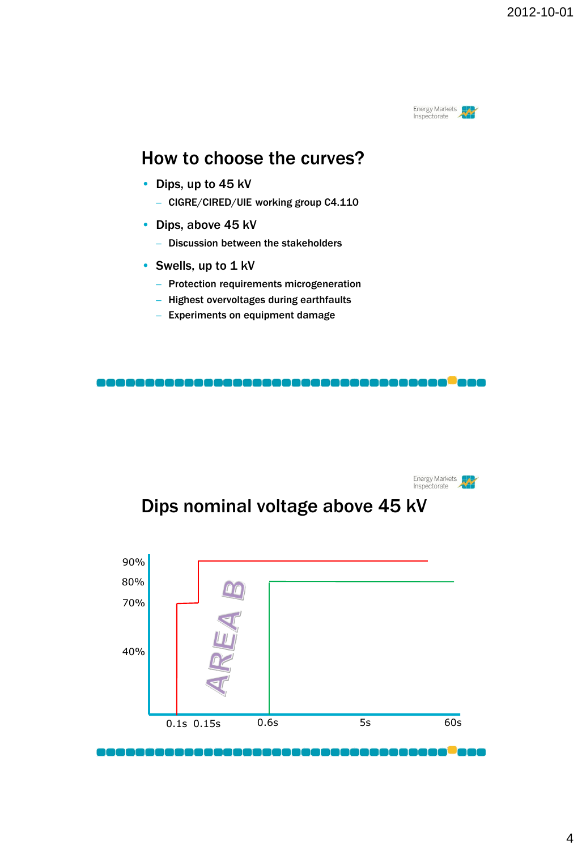

#### How to choose the curves?

- Dips, up to 45 kV
	- CIGRE/CIRED/UIE working group C4.110
- Dips, above 45 kV
	- Discussion between the stakeholders
- Swells, up to 1 kV
	- Protection requirements microgeneration
	- Highest overvoltages during earthfaults
	- Experiments on equipment damage





## Dips nominal voltage above 45 kV



, . . . . . . . . .